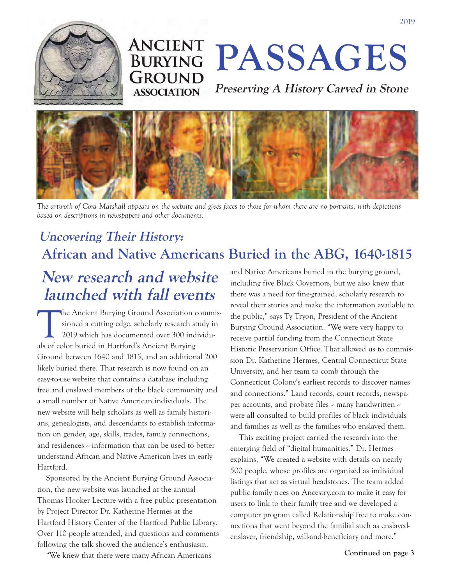

# **ANCIENT GROUND ASSOCIATION**

**ANCIENT PASSAGES** 

**Preserving A History Carved in Stone**



*The artwork of Cora Marshall appears on the website and gives faces to those for whom there are no portraits, with depictions based on descriptions in newspapers and other documents.*

#### **Uncovering Their History: African and Native Americans Buried in the ABG, 1640-1815**

## **New research and website launched with fall events**

The Ancient Burying Ground Association commissioned a cutting edge, scholarly research study in 2019 which has documented over 300 individuals of color buried in Hartford's Ancient Burying Ground between 1640 and 1815, and an additional 200 likely buried there. That research is now found on an easy-to-use website that contains a database including free and enslaved members of the black community and a small number of Native American individuals. The new website will help scholars as well as family historians, genealogists, and descendants to establish information on gender, age, skills, trades, family connections, and residences -- information that can be used to better understand African and Native American lives in early Hartford.

Sponsored by the Ancient Burying Ground Associa tion, the new website was launched at the annual Thomas Hooker Lecture with a free public presentation by Project Director Dr. Katherine Hermes at the Hartford History Center of the Hartford Public Library. Over 110 people attended, and questions and comments following the talk showed the audience's enthusiasm.

and Native Americans buried in the burying ground, including five Black Governors, but we also knew that there was a need for fine-grained, scholarly research to reveal their stories and make the information available to the public," says Ty Tryon, President of the Ancient Burying Ground Association. "We were very happy to receive partial funding from the Connecticut State Historic Preservation Office. That allowed us to commission Dr. Katherine Hermes, Central Connecticut State University, and her team to comb through the Connecticut Colony's earliest records to discover names and connections." Land records, court records, newspaper accounts, and probate files -- many handwritten -were all consulted to build profiles of black individuals and families as well as the families who enslaved them.

This exciting project carried the research into the emerging field of "digital humanities." Dr. Hermes explains, "We created a website with details on nearly 500 people, whose profiles are organized as individual listings that act as virtual headstones. The team added public family trees on Ancestry.com to make it easy for users to link to their family tree and we developed a computer program called RelationshipTree to make connections that went beyond the familial such as enslavedenslaver, friendship, will-and-beneficiary and more."

"We knew that there were many African Americans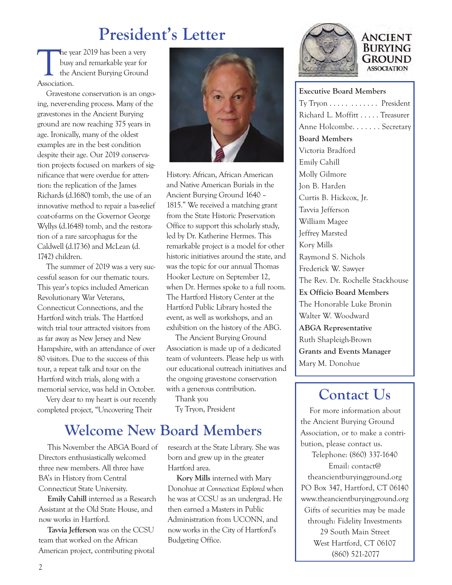## **President's Letter**

The year 2019 has been a very<br>busy and remarkable year for<br>the Ancient Burying Ground<br>Association busy and remarkable year for the Ancient Burying Ground Association.

Gravestone conservation is an ongoing, never-ending process. Many of the gravestones in the Ancient Burying ground are now reaching 375 years in age. Ironically, many of the oldest examples are in the best condition despite their age. Our 2019 conservation projects focused on markers of significance that were overdue for attention: the replication of the James Richards (d.1680) tomb, the use of an innovative method to repair a bas-relief coat-of-arms on the Governor George Wyllys (d.1648) tomb, and the restoration of a rare sarcophagus for the Caldwell (d.1736) and McLean (d. 1742) children.

The summer of 2019 was a very successful season for our thematic tours. This year's topics included American Revolutionary War Veterans, Connecticut Connections, and the Hartford witch trials. The Hartford witch trial tour attracted visitors from as far away as New Jersey and New Hampshire, with an attendance of over 80 visitors. Due to the success of this tour, a repeat talk and tour on the Hartford witch trials, along with a memorial service, was held in October.

Very dear to my heart is our recently completed project, "Uncovering Their

Directors enthusiastically welcomed three new members. All three have BA's in History from Central Connecticut State University.

now works in Hartford.

**Emily Cahill** interned as a Research Assistant at the Old State House, and

**Tavvia Jefferson** was on the CCSU

team that worked on the African American project, contributing pivotal



History: African, African American and Native American Burials in the Ancient Burying Ground 1640 – 1815." We received a matching grant from the State Historic Preservation Office to support this scholarly study, led by Dr. Katherine Hermes. This remarkable project is a model for other historic initiatives around the state, and was the topic for our annual Thomas Hooker Lecture on September 12, when Dr. Hermes spoke to a full room. The Hartford History Center at the Hartford Public Library hosted the event, as well as workshops, and an exhibition on the history of the ABG.

The Ancient Burying Ground Association is made up of a dedicated team of volunteers. Please help us with our educational outreach initiatives and the ongoing gravestone conservation with a generous contribution.

Thank you Ty Tryon, President

### **Welcome New Board Members**

This November the ABGA Board of research at the State Library. She was born and grew up in the greater Hartford area.

> **Kory Mills** interned with Mary Donohue at *Connecticut Explored* when he was at CCSU as an undergrad. He then earned a Masters in Public Administration from UCONN, and now works in the City of Hartford's Budgeting Office.



#### **ANCIENT BURYING GROUND ASSOCIATION**

**Executive Board Members** Ty Tryon . . . . . . . . . . . . President Richard L. Moffitt . . . . . Treasurer Anne Holcombe. . . . . . . Secretary **Board Members** Victoria Bradford Emily Cahill Molly Gilmore Jon B. Harden Curtis B. Hickcox, Jr. Tavvia Jefferson William Magee Jeffrey Marsted Kory Mills Raymond S. Nichols Frederick W. Sawyer The Rev. Dr. Rochelle Stackhouse **Ex Officio Board Members** The Honorable Luke Bronin Walter W. Woodward **ABGA Representative** Ruth Shapleigh-Brown **Grants and Events Manager** Mary M. Donohue

### **Contact Us**

For more information about the Ancient Burying Ground Association, or to make a contribution, please contact us. Telephone: (860) 337-1640 Email: contact@ theancientburyingground.org PO Box 347, Hartford, CT 06140 www.theancientburyingground.org Gifts of securities may be made through: Fidelity Investments 29 South Main Street

West Hartford, CT 06107 (860) 521-2077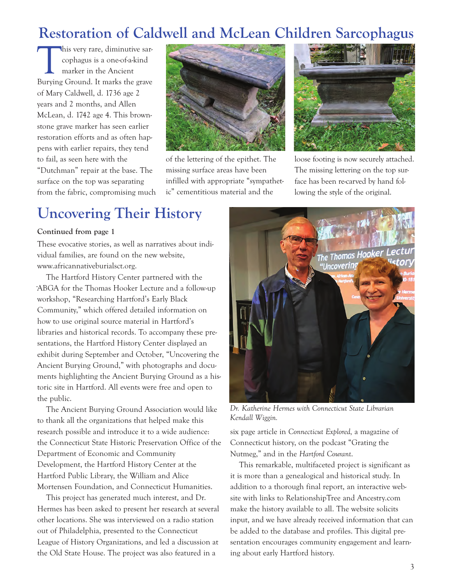### **Restoration of Caldwell and McLean Children Sarcophagus**

his very rare, diminutive sarcophagus is a one-of-a-kind marker in the Ancient Burying Ground. It marks the grave of Mary Caldwell, d. 1736 age 2 years and 2 months, and Allen McLean, d. 1742 age 4. This brownstone grave marker has seen earlier restoration efforts and as often happens with earlier repairs, they tend to fail, as seen here with the "Dutchman" repair at the base. The surface on the top was separating from the fabric, compromising much



of the lettering of the epithet. The missing surface areas have been infilled with appropriate "sympathetic" cementitious material and the



loose footing is now securely attached. The missing lettering on the top surface has been re-carved by hand following the style of the original.

#### **Uncovering Their History**

#### **Continued from page 1**

These evocative stories, as well as narratives about individual families, are found on the new website, www.africannativeburialsct.org.

The Hartford History Center partnered with the ABGA for the Thomas Hooker Lecture and a follow-up workshop, "Researching Hartford's Early Black Community," which offered detailed information on how to use original source material in Hartford's libraries and historical records. To accompany these presentations, the Hartford History Center displayed an exhibit during September and October, "Uncovering the Ancient Burying Ground," with photographs and documents highlighting the Ancient Burying Ground as a historic site in Hartford. All events were free and open to the public.

The Ancient Burying Ground Association would like to thank all the organizations that helped make this research possible and introduce it to a wide audience: the Connecticut State Historic Preservation Office of the Department of Economic and Community Development, the Hartford History Center at the Hartford Public Library, the William and Alice Mortensen Foundation, and Connecticut Humanities.

This project has generated much interest, and Dr. Hermes has been asked to present her research at several other locations. She was interviewed on a radio station out of Philadelphia, presented to the Connecticut League of History Organizations, and led a discussion at the Old State House. The project was also featured in a



Dr. Katherine Hermes with Connecticut State Librarian *Kendall Wiggin.*

six page article in *Connecticut Explored,* a magazine of Connecticut history, on the podcast "Grating the Nutmeg," and in the *Hartford Courant*.

This remarkable, multifaceted project is significant as it is more than a genealogical and historical study. In addition to a thorough final report, an interactive website with links to RelationshipTree and Ancestry.com make the history available to all. The website solicits input, and we have already received information that can be added to the database and profiles. This digital presentation encourages community engagement and learning about early Hartford history.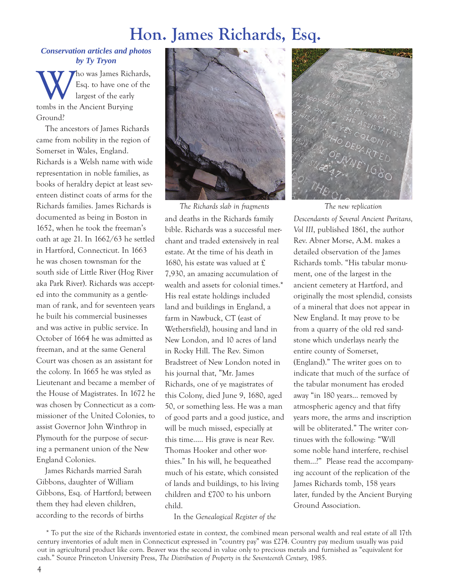## **Hon. James Richards, Esq.**

#### *Conservation articles and photos by Ty Tryon*

W ho was James Richards,<br>Esq. to have one of the<br>tombs in the Ancient Burving Esq. to have one of the largest of the early tombs in the Ancient Burying Ground?

The ancestors of James Richards came from nobility in the region of Somerset in Wales, England. Richards is a Welsh name with wide representation in noble families, as books of heraldry depict at least seventeen distinct coats of arms for the Richards families. James Richards is documented as being in Boston in 1652, when he took the freeman's oath at age 21. In 1662/63 he settled in Hartford, Connecticut. In 1663 he was chosen townsman for the south side of Little River (Hog River aka Park River). Richards was accepted into the community as a gentleman of rank, and for seventeen years he built his commercial businesses and was active in public service. In October of 1664 he was admitted as freeman, and at the same General Court was chosen as an assistant for the colony. In 1665 he was styled as Lieutenant and became a member of the House of Magistrates. In 1672 he was chosen by Connecticut as a commissioner of the United Colonies, to assist Governor John Winthrop in Plymouth for the purpose of securing a permanent union of the New England Colonies.

James Richards married Sarah Gibbons, daughter of William Gibbons, Esq. of Hartford; between them they had eleven children, according to the records of births



and deaths in the Richards family bible. Richards was a successful merchant and traded extensively in real estate. At the time of his death in 1680, his estate was valued at £ 7,930, an amazing accumulation of wealth and assets for colonial times.\* His real estate holdings included land and buildings in England, a farm in Nawbuck, CT (east of Wethersfield), housing and land in New London, and 10 acres of land in Rocky Hill. The Rev. Simon Bradstreet of New London noted in his journal that, "Mr. James Richards, one of ye magistrates of this Colony, died June 9, 1680, aged 50, or something less. He was a man of good parts and a good justice, and will be much missed, especially at this time.…. His grave is near Rev. Thomas Hooker and other worthies." In his will, he bequeathed much of his estate, which consisted of lands and buildings, to his living children and £700 to his unborn child. *The Richards slab in fragments The new replication*

In the *Genealogical Register of the*



*Descendants of Several Ancient Puritans, Vol III*, published 1861, the author Rev. Abner Morse, A.M. makes a detailed observation of the James Richards tomb. "His tabular monument, one of the largest in the ancient cemetery at Hartford, and originally the most splendid, consists of a mineral that does not appear in New England. It may prove to be from a quarry of the old red sandstone which underlays nearly the entire county of Somerset, (England)." The writer goes on to indicate that much of the surface of the tabular monument has eroded away "in 180 years… removed by atmospheric agency and that fifty years more, the arms and inscription will be obliterated." The writer continues with the following: "Will some noble hand interfere, re-chisel them…?" Please read the accompanying account of the replication of the James Richards tomb, 158 years later, funded by the Ancient Burying Ground Association.

<sup>\*</sup> To put the size of the Richards inventoried estate in context, the combined mean personal wealth and real estate of all 17th century inventories of adult men in Connecticut expressed in "country pay" was £274. Country pay medium usually was paid out in agricultural product like corn. Beaver was the second in value only to precious metals and furnished as "equivalent for cash." Source Princeton University Press, *The Distribution of Property in the Seventeenth Century,* 1985.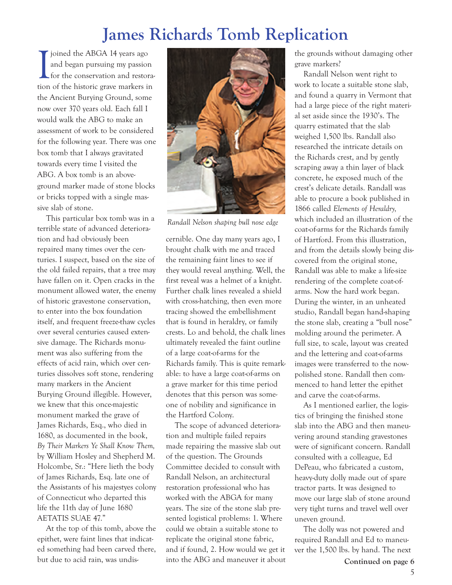## **James Richards Tomb Replication**

Joined the ABGA 14 years ago<br>and began pursuing my passion<br>for the conservation and restora<br>tion of the historic grave markers in joined the ABGA 14 years ago and began pursuing my passion for the conservation and restorathe Ancient Burying Ground, some now over 370 years old. Each fall I would walk the ABG to make an assessment of work to be considered for the following year. There was one box tomb that I always gravitated towards every time I visited the ABG. A box tomb is an aboveground marker made of stone blocks or bricks topped with a single massive slab of stone.

This particular box tomb was in a terrible state of advanced deterioration and had obviously been repaired many times over the centuries. I suspect, based on the size of the old failed repairs, that a tree may have fallen on it. Open cracks in the monument allowed water, the enemy of historic gravestone conservation, to enter into the box foundation itself, and frequent freeze-thaw cycles over several centuries caused extensive damage. The Richards monument was also suffering from the effects of acid rain, which over centuries dissolves soft stone, rendering many markers in the Ancient Burying Ground illegible. However, we knew that this once-majestic monument marked the grave of James Richards, Esq., who died in 1680, as documented in the book, *By Their Markers Ye Shall Know Them,* by William Hosley and Shepherd M. Holcombe, Sr.: "Here lieth the body of James Richards, Esq. late one of the Assistants of his majestyes colony of Connecticut who departed this life the 11th day of June 1680 AETATIS SUAE 47."

At the top of this tomb, above the epithet, were faint lines that indicated something had been carved there, but due to acid rain, was undis-



*Randall Nelson shaping bull nose edge*

cernible. One day many years ago, I brought chalk with me and traced the remaining faint lines to see if they would reveal anything. Well, the first reveal was a helmet of a knight. Further chalk lines revealed a shield with cross-hatching, then even more tracing showed the embellishment that is found in heraldry, or family crests. Lo and behold, the chalk lines ultimately revealed the faint outline of a large coat-of-arms for the Richards family. This is quite remarkable: to have a large coat-of-arms on a grave marker for this time period denotes that this person was someone of nobility and significance in the Hartford Colony.

The scope of advanced deterioration and multiple failed repairs made repairing the massive slab out of the question. The Grounds Committee decided to consult with Randall Nelson, an architectural restoration professional who has worked with the ABGA for many years. The size of the stone slab presented logistical problems: 1. Where could we obtain a suitable stone to replicate the original stone fabric, and if found, 2. How would we get it into the ABG and maneuver it about

the grounds without damaging other grave markers?

Randall Nelson went right to work to locate a suitable stone slab, and found a quarry in Vermont that had a large piece of the right material set aside since the 1930's. The quarry estimated that the slab weighed 1,500 lbs. Randall also researched the intricate details on the Richards crest, and by gently scraping away a thin layer of black concrete, he exposed much of the crest's delicate details. Randall was able to procure a book published in 1866 called *Elements of Heraldry,* which included an illustration of the coat-of-arms for the Richards family of Hartford. From this illustration, and from the details slowly being discovered from the original stone, Randall was able to make a life-size rendering of the complete coat-ofarms. Now the hard work began. During the winter, in an unheated studio, Randall began hand-shaping the stone slab, creating a "bull nose" molding around the perimeter. A full size, to scale, layout was created and the lettering and coat-of-arms images were transferred to the nowpolished stone. Randall then commenced to hand letter the epithet and carve the coat-of-arms.

As I mentioned earlier, the logistics of bringing the finished stone slab into the ABG and then maneuvering around standing gravestones were of significant concern. Randall consulted with a colleague, Ed DePeau, who fabricated a custom, heavy-duty dolly made out of spare tractor parts. It was designed to move our large slab of stone around very tight turns and travel well over uneven ground.

The dolly was not powered and required Randall and Ed to maneuver the 1,500 lbs. by hand. The next

**Continued on page 6**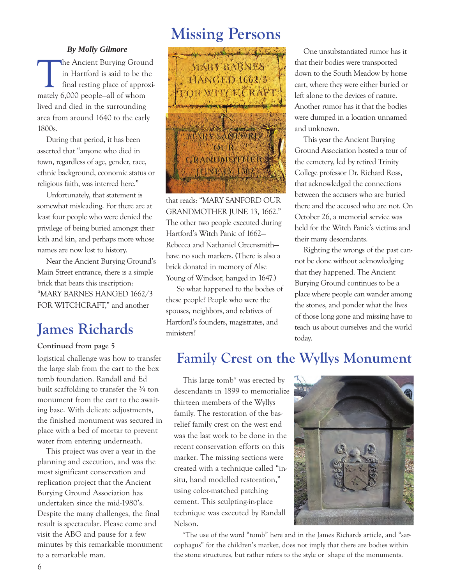#### *By Molly Gilmore*

The Ancient Burying Ground<br>in Hartford is said to be the<br>final resting place of approxi<br>mately 6,000 people-all of whom in Hartford is said to be the final resting place of approximately 6,000 people—all of whom lived and died in the surrounding area from around 1640 to the early 1800s.

During that period, it has been asserted that "anyone who died in town, regardless of age, gender, race, ethnic background, economic status or religious faith, was interred here."

Unfortunately, that statement is somewhat misleading. For there are at least four people who were denied the privilege of being buried amongst their kith and kin, and perhaps more whose names are now lost to history.

Near the Ancient Burying Ground's Main Street entrance, there is a simple brick that bears this inscription: "MARY BARNES HANGED 1662/3 FOR WITCHCRAFT," and another

### **James Richards**

#### **Continued from page 5**

logistical challenge was how to transfer the large slab from the cart to the box tomb foundation. Randall and Ed built scaffolding to transfer the 3/4 ton monument from the cart to the awaiting base. With delicate adjustments, the finished monument was secured in place with a bed of mortar to prevent water from entering underneath.

This project was over a year in the planning and execution, and was the most significant conservation and replication project that the Ancient Burying Ground Association has undertaken since the mid-1980's. Despite the many challenges, the final result is spectacular. Please come and visit the ABG and pause for a few minutes by this remarkable monument to a remarkable man.

## **Missing Persons**



that reads: "MARY SANFORD OUR GRANDMOTHER JUNE 13, 1662." The other two people executed during Hartford's Witch Panic of 1662— Rebecca and Nathaniel Greensmith have no such markers. (There is also a brick donated in memory of Alse Young of Windsor, hanged in 1647.)

So what happened to the bodies of these people? People who were the spouses, neighbors, and relatives of Hartford's founders, magistrates, and ministers?

One unsubstantiated rumor has it that their bodies were transported down to the South Meadow by horse cart, where they were either buried or left alone to the devices of nature. Another rumor has it that the bodies were dumped in a location unnamed and unknown.

This year the Ancient Burying Ground Association hosted a tour of the cemetery, led by retired Trinity College professor Dr. Richard Ross, that acknowledged the connections between the accusers who are buried there and the accused who are not. On October 26, a memorial service was held for the Witch Panic's victims and their many descendants.

Righting the wrongs of the past cannot be done without acknowledging that they happened. The Ancient Burying Ground continues to be a place where people can wander among the stones, and ponder what the lives of those long gone and missing have to teach us about ourselves and the world today.

#### **Family Crest on the Wyllys Monument**

This large tomb\* was erected by descendants in 1899 to memorialize thirteen members of the Wyllys family. The restoration of the basrelief family crest on the west end was the last work to be done in the recent conservation efforts on this marker. The missing sections were created with a technique called "insitu, hand modelled restoration," using color-matched patching cement. This sculpting-in-place technique was executed by Randall Nelson.



\*The use of the word "tomb" here and in the James Richards article, and "sarcophagus" for the children's marker, does not imply that there are bodies within the stone structures, but rather refers to the style or shape of the monuments.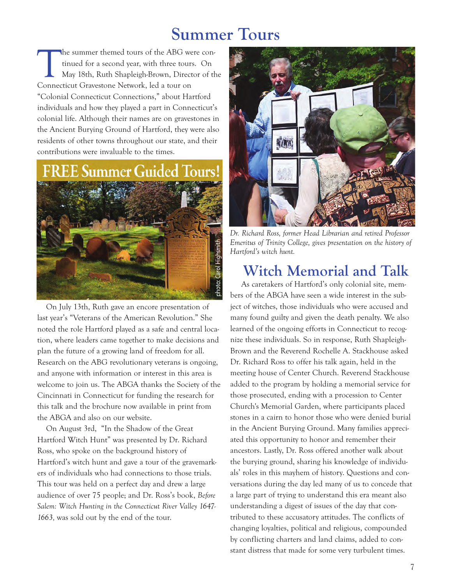### **Summer Tours**

The summer themed tours of the ABG were continued for a second year, with three tours. On May 18th, Ruth Shapleigh-Brown, Director of the Connecticut Gravestone Network led a tour on tinued for a second year, with three tours. On May 18th, Ruth Shapleigh-Brown, Director of the Connecticut Gravestone Network, led a tour on "Colonial Connecticut Connections," about Hartford individuals and how they played a part in Connecticut's colonial life. Although their names are on gravestones in the Ancient Burying Ground of Hartford, they were also residents of other towns throughout our state, and their contributions were invaluable to the times.

# E Summer Guided Tours



On July 13th, Ruth gave an encore presentation of last year's "Veterans of the American Revolution." She noted the role Hartford played as a safe and central location, where leaders came together to make decisions and plan the future of a growing land of freedom for all. Research on the ABG revolutionary veterans is ongoing, and anyone with information or interest in this area is welcome to join us. The ABGA thanks the Society of the Cincinnati in Connecticut for funding the research for this talk and the brochure now available in print from the ABGA and also on our website.

On August 3rd, "In the Shadow of the Great Hartford Witch Hunt" was presented by Dr. Richard Ross, who spoke on the background history of Hartford's witch hunt and gave a tour of the gravemarkers of individuals who had connections to those trials. This tour was held on a perfect day and drew a large audience of over 75 people; and Dr. Ross's book, *Before Salem: Witch Hunting in the Connecticut River Valley 1647- 1663,* was sold out by the end of the tour.



*Dr. Richard Ross, former Head Librarian and retired Professor Emeritus of Trinity College, gives presentation on the history of Hartford's witch hunt.*

#### **Witch Memorial and Talk**

As caretakers of Hartford's only colonial site, members of the ABGA have seen a wide interest in the subject of witches, those individuals who were accused and many found guilty and given the death penalty. We also learned of the ongoing efforts in Connecticut to recognize these individuals. So in response, Ruth Shapleigh-Brown and the Reverend Rochelle A. Stackhouse asked Dr. Richard Ross to offer his talk again, held in the meeting house of Center Church. Reverend Stackhouse added to the program by holding a memorial service for those prosecuted, ending with a procession to Center Church's Memorial Garden, where participants placed stones in a cairn to honor those who were denied burial in the Ancient Burying Ground. Many families appreciated this opportunity to honor and remember their ancestors. Lastly, Dr. Ross offered another walk about the burying ground, sharing his knowledge of individuals' roles in this mayhem of history. Questions and conversations during the day led many of us to concede that a large part of trying to understand this era meant also understanding a digest of issues of the day that contributed to these accusatory attitudes. The conflicts of changing loyalties, political and religious, compounded by conflicting charters and land claims, added to constant distress that made for some very turbulent times.